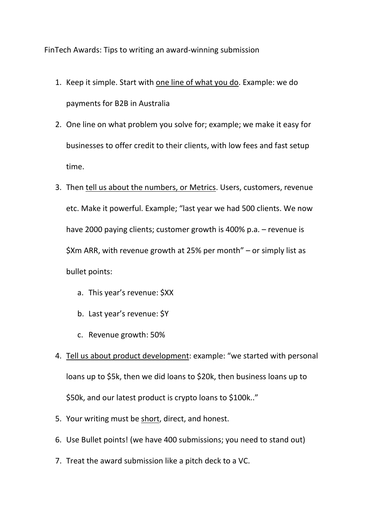FinTech Awards: Tips to writing an award-winning submission

- 1. Keep it simple. Start with one line of what you do. Example: we do payments for B2B in Australia
- 2. One line on what problem you solve for; example; we make it easy for businesses to offer credit to their clients, with low fees and fast setup time.
- 3. Then tell us about the numbers, or Metrics. Users, customers, revenue etc. Make it powerful. Example; "last year we had 500 clients. We now have 2000 paying clients; customer growth is 400% p.a. – revenue is \$Xm ARR, with revenue growth at 25% per month" – or simply list as bullet points:
	- a. This year's revenue: \$XX
	- b. Last year's revenue: \$Y
	- c. Revenue growth: 50%
- 4. Tell us about product development: example: "we started with personal loans up to \$5k, then we did loans to \$20k, then business loans up to \$50k, and our latest product is crypto loans to \$100k.."
- 5. Your writing must be short, direct, and honest.
- 6. Use Bullet points! (we have 400 submissions; you need to stand out)
- 7. Treat the award submission like a pitch deck to a VC.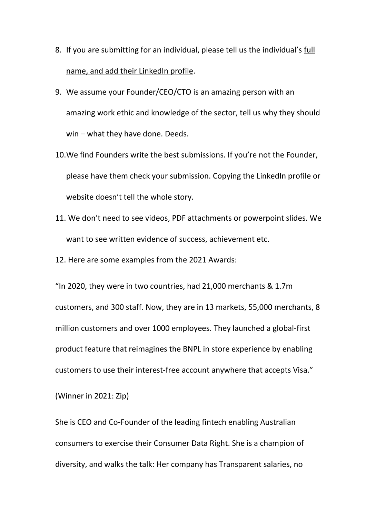- 8. If you are submitting for an individual, please tell us the individual's full name, and add their LinkedIn profile.
- 9. We assume your Founder/CEO/CTO is an amazing person with an amazing work ethic and knowledge of the sector, tell us why they should win – what they have done. Deeds.
- 10.We find Founders write the best submissions. If you're not the Founder, please have them check your submission. Copying the LinkedIn profile or website doesn't tell the whole story.
- 11. We don't need to see videos, PDF attachments or powerpoint slides. We want to see written evidence of success, achievement etc.
- 12. Here are some examples from the 2021 Awards:

"In 2020, they were in two countries, had 21,000 merchants & 1.7m customers, and 300 staff. Now, they are in 13 markets, 55,000 merchants, 8 million customers and over 1000 employees. They launched a global-first product feature that reimagines the BNPL in store experience by enabling customers to use their interest-free account anywhere that accepts Visa."

(Winner in 2021: Zip)

She is CEO and Co-Founder of the leading fintech enabling Australian consumers to exercise their Consumer Data Right. She is a champion of diversity, and walks the talk: Her company has Transparent salaries, no